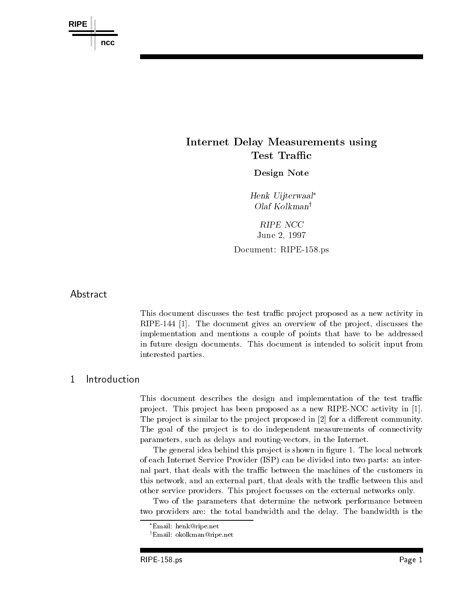

# Internet Delay Measurements using Test Track Track Track Track Track Track Track Track Track Track Track Track Track Track Track Track Track Track

Design Note

Henk Uijterwaal  $Olaf Kolkman<sup>†</sup>$ 

RIPE NCC  $J_{\text{S}}$  ,  $J_{\text{S}}$  ,  $J_{\text{S}}$  ,  $J_{\text{S}}$  ,  $J_{\text{S}}$  ,  $J_{\text{S}}$  ,  $J_{\text{S}}$  ,  $J_{\text{S}}$  ,  $J_{\text{S}}$  ,  $J_{\text{S}}$  ,  $J_{\text{S}}$  ,  $J_{\text{S}}$  ,  $J_{\text{S}}$  ,  $J_{\text{S}}$  ,  $J_{\text{S}}$  ,  $J_{\text{S}}$  ,  $J_{\text{S}}$  ,  $J_{\text{S}}$  ,  $J_{\text$ 

Document RIPE- ps

# Abstract

This document discusses the test traffic project proposed as a new activity in ries — sie je, sie document gives an overview of the project, which was the proimplementation and mentions a couple of points that have to be addressed in future design documents. This document is intended to solicit input from interested parties

# $\mathbf{1}$

This document describes the design and implementation of the test traffic project. This project has been proposed as a new RIPE-NCC activity in  $[1]$ .  $\mathcal{L}$  . The contract of the contract of the contract of the contract of the contract of the contract of the contract of the contract of the contract of the contract of the contract of the contract of the contract of th The project is similar to the project proposed in  $[2]$  for a different community. The goal of the project is to do independent measurements of connectivity parameters, such as delays and routing-vectors, in the Internet.

The general idea behind this pro ject is shown in gure - The local network of each Internet Service Provider ISP can be divided into two parts an inter nal part, that deals with the traffic between the machines of the customers in this network, and an external part, that deals with the traffic between this and other service providers. This project focusses on the external networks only.

Two of the parameters that determine the network performance between two providers are: the total bandwidth and the delay. The bandwidth is the

Email: nenk@ripe.net

<sup>&#</sup>x27;Email: okolkman@ripe.net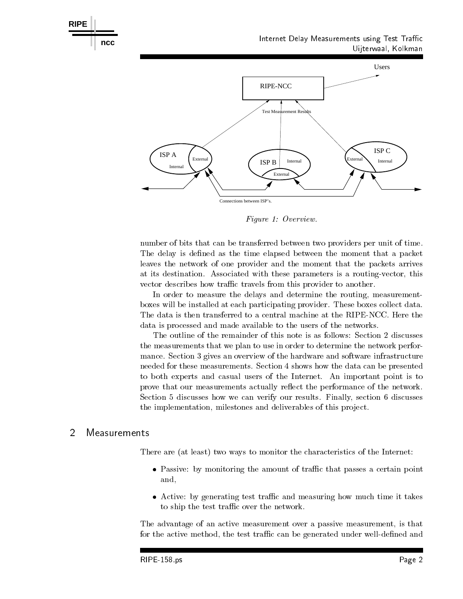

Figure Overview-

number of bits that can be transferred between two providers per unit of time The delay is de ned as the time elapsed between the moment that a packet leaves the network of one provider and the moment that the packets arrives at its destination. Associated with these parameters is a routing-vector, this vector describes how traffic travels from this provider to another.

In order to measure the delays and determine the routing, measurementboxes will be installed at each participating provider. These boxes collect data. The data is then transferred to a central machine at the RIPENCC Here the data is processed and made available to the users of the networks

The outline of the remainder of this note is as follows: Section 2 discusses the measurements that we plan to use in order to determine the network perfor mance. Section 3 gives an overview of the hardware and software infrastructure needed for these measurements. Section 4 shows how the data can be presented to both experts and casual users of the Internet An important point is to prove that our measurements actually reflect the performance of the network. Section 5 discusses how we can verify our results. Finally, section 6 discusses the implementation, milestones and deliverables of this project.

There are (at least) two ways to monitor the characteristics of the Internet:

- Passive: by monitoring the amount of traffic that passes a certain point and and so the contract of the contract of the contract of the contract of the contract of the contract of the
- Active: by generating test traffic and measuring how much time it takes to ship the test traffic over the network.

The advantage of an active measurement over a passive measurement, is that for the active method the test trac can be generated under wellde ned and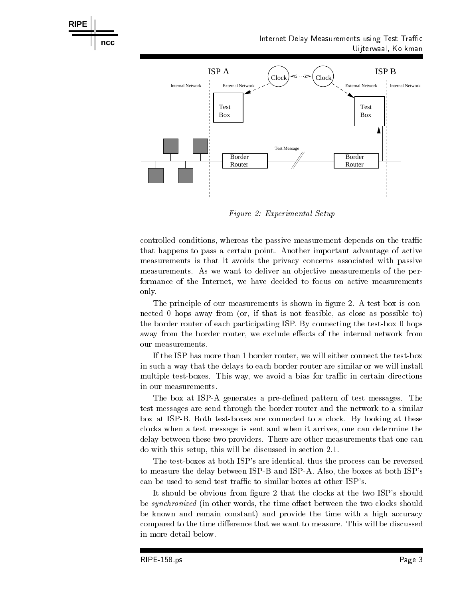

Figure Experimental Setup

controlled conditions, whereas the passive measurement depends on the traffic that happens to pass a certain point Another important advantage of active measurements is that it avoids the privacy concerns associated with passive measurements. As we want to deliver an objective measurements of the performance of the Internet, we have decided to focus on active measurements

The principle of our measurements is shown in figure 2. A test-box is connected 0 hops away from (or, if that is not feasible, as close as possible to) the border router of each participating ISP. By connecting the test-box 0 hops away from the border router, we exclude effects of the internal network from our measurements

If the ISP has more than  $\mathbb{I}$ in such a way that the delays to each border router are similar or we will install multiple test-boxes. This way, we avoid a bias for traffic in certain directions in our measurements

The box at ISPA generates a prede ned pattern of test messages The test messages are send through the border router and the network to a similar box at ISP-B. Both test-boxes are connected to a clock. By looking at these clocks when a test message is sent and when it arrives one can determine the delay between these two providers. There are other measurements that one can do with this setup this will be discussed in section -

The test-boxes at both ISP's are identical, thus the process can be reversed to measure the delay between ISP-B and ISP-A. Also, the boxes at both ISP's can be used to send test traffic to similar boxes at other ISP's.

It should be obtained by the clocks at the clocks at the two ISPs should be clocks at the two ISPs showledge  $\mathcal{L}(\mathbf{A})$ be *synchronized* (in other words, the time offset between the two clocks should be known and remain constant) and provide the time with a high accuracy compared to the time difference that we want to measure. This will be discussed in more detail below

**RIPE**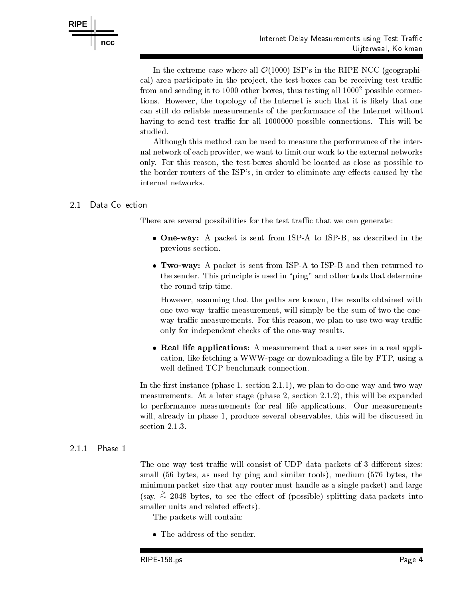

 $\mathbf{F}$  in the extreme case where  $\mathbf{F}$ cal) area participate in the project, the test-boxes can be receiving test traffic from and sending it to 1000 other boxes, thus testing all 1000-possible connections. However, the topology of the Internet is such that it is likely that one can still do reliable measurements of the performance of the Internet without having to send test trac for all - possible connections This will be studied

Although this method can be used to measure the performance of the inter nal network of each provider, we want to limit our work to the external networks only. For this reason, the test-boxes should be located as close as possible to the border routers of the ISP's, in order to eliminate any effects caused by the internal networks

#### Data Collection 2.1

There are several possibilities for the test traffic that we can generate:

- One-way: A packet is sent from ISP-A to ISP-B, as described in the previous section
- Two-way: A packet is sent from ISP-A to ISP-B and then returned to the sender. This principle is used in "ping" and other tools that determine the round trip time

However, assuming that the paths are known, the results obtained with one two-way traffic measurement, will simply be the sum of two the oneway traffic measurements. For this reason, we plan to use two-way traffic only for independent checks of the one-way results.

• Real life applications: A measurement that a user sees in a real application is cattoring a WWW page or downloading a motor y rest want  $\alpha$ 

 $\mathbf{u}$  the section - and two plan to do one we plan to do one we plan to do one way and two ones we plan to do one way and two way and two section of two way and two way and two way and two way and two way and two way a measurements and interesting phase is a later state  $\mu$  , then we see the expanded  $\mu$ to performance measurements for real life applications Our measurements will also in produce - in produce several observables this will be discussed in the second in the discussed in

# Phase 1

The one way test traffic will consist of UDP data packets of 3 different sizes: small  $(56 \text{ bytes}, \text{ as used by ping and similar tools}), \text{ medium } (576 \text{ bytes}, \text{ the}$ minimum packet size that any router must handle as a single packet) and large (say,  $\approx$  2048 bytes, to see the effect of (possible) splitting data-packets into smaller units and related effects).

The packets will contain

• The address of the sender.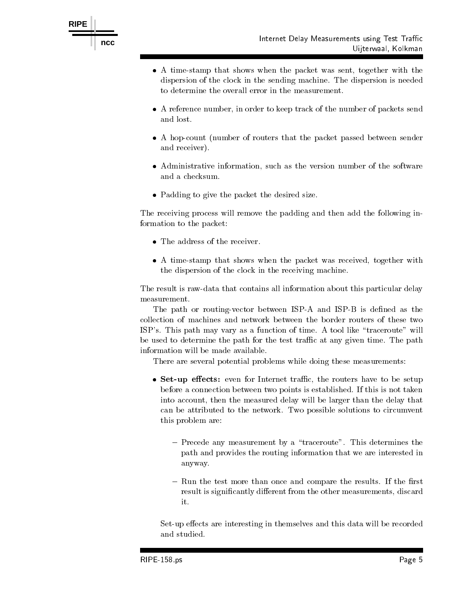

- $\bullet$  A time-stamp that shows when the packet was sent, together with the dispersion of the clock in the sending machine. The dispersion is needed to determine the overall error in the measurement.
- A reference number in order to keep track of the number of packets send
- A hop-count (number of routers that the packet passed between sender and receiver).
- Administrative information, such as the version number of the software and a checksum
- Padding to give the packet the desired size.

The receiving process will remove the padding and then add the following in formation to the packet

- The address of the receiver.
- $\bullet$  A time-stamp that shows when the packet was received, together with the dispersion of the clock in the receiving machine

The result is raw-data that contains all information about this particular delay measurement

The path or routingvector between ISPA and ISPB is de ned as the collection of machines and network between the border routers of these two ISP's. This path may vary as a function of time. A tool like "traceroute" will be used to determine the path for the test traffic at any given time. The path information will be made available

There are several potential problems while doing these measurements:

- Setup e-ects even for Internet trac the routers have to be setup before a connection between two points is established. If this is not taken into account, then the measured delay will be larger than the delay that can be attributed to the network Two possible solutions to circumvent this problem are
	- Precede any measurement by a traceroute This determines the path and provides the routing information that we are interested in anyway
	- run the test more than one and compare the results I the results I the results I the results I the results I t result is significantly dimensioned measurements discarding discussions discarded the other measurements disc it

Set-up effects are interesting in themselves and this data will be recorded and studied.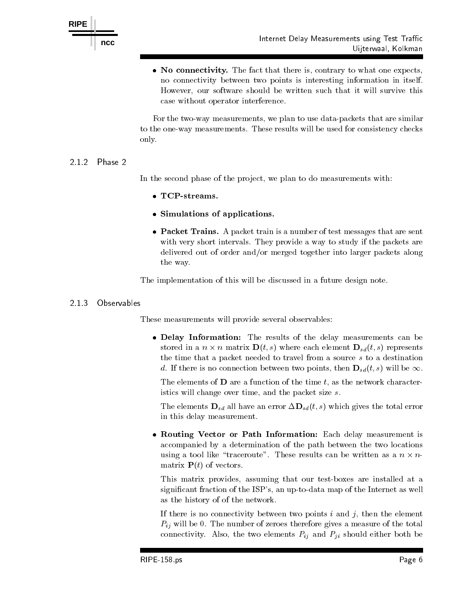

• No connectivity. The fact that there is, contrary to what one expects, no connectivity between two points is interesting information in itself However, our software should be written such that it will survive this case without operator interference

For the two-way measurements, we plan to use data-packets that are similar to the one-way measurements. These results will be used for consistency checks only

In the second phase of the project, we plan to do measurements with:

- $\bullet$  TCP-streams.
- Simulations of applications.
- Packet Trains. A packet train is a number of test messages that are sent with very short intervals. They provide a way to study if the packets are delivered out of order and/or merged together into larger packets along the way

The implementation of this will be discussed in a future design note

These measurements will provide several observables

• Delay Information: The results of the delay measurements can be  $\mathcal{L}_{\text{sub}}(v, \sigma)$  represents  $\mathcal{L}_{\text{sub}}(v, \sigma)$  and  $\mathcal{L}_{\text{sub}}(v, \sigma)$  represents the time that a packet needed to travel from a source  $s$  to a destination d. If there is no connection between two points, then  $\mathbf{D}_{sd}(t,s)$  will be  $\infty$ .

The elements of  **are a function of the time t, as the network character**istics will change over time, and the packet size  $s$ .

The elements  $\mathbf{D}_{sd}$  all have an error  $\Delta \mathbf{D}_{sd}(t, s)$  which gives the total error in this delay measurement

• Routing Vector or Path Information: Each delay measurement is accompanied by a determination of the path between the two locations using a tool like traceroute These results can be written as a normal be written as a normal can be written as matrix  $P(t)$  of vectors.

This matrix provides, assuming that our test-boxes are installed at a signi cant fraction of the ISPs an uptodata map of the Internet as well as the history of of the network

If there is no connectivity between two points  $i$  and  $j$ , then the element  $P_{ij}$  will be 0. The number of zeroes therefore gives a measure of the total connectivity. Also, the two elements  $P_{ij}$  and  $P_{ji}$  should either both be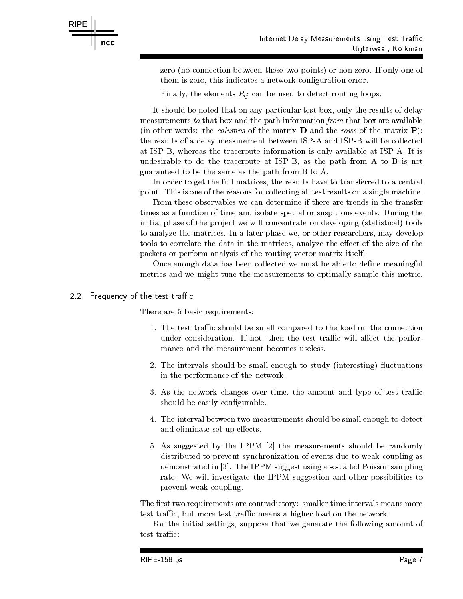zero (no connection between these two points) or non-zero. If only one of them is zero this indicates a network con guration error

Finally, the elements  $P_{ij}$  can be used to detect routing loops.

It should be noted that on any particular test-box, only the results of delay measurements to that box and the path information from that box are available (in other words: the *columns* of the matrix  $\bf{D}$  and the *rows* of the matrix  $\bf{P}$ ): the results of a delay measurement between ISP-A and ISP-B will be collected at ISP-B, whereas the traceroute information is only available at ISP-A. It is undesirable to do the traceroute at ISPB as the path from A to B is not guaranteed to be the same as the path from B to A

In order to get the full matrices, the results have to transferred to a central point. This is one of the reasons for collecting all test results on a single machine.

From these observables we can determine if there are trends in the transfer times as a function of time and isolate special or suspicious events During the initial phase of the project we will concentrate on developing (statistical) tools to analyze the matrices. In a later phase we, or other researchers, may develop tools to correlate the data in the matrices, analyze the effect of the size of the packets or perform analysis of the routing vector matrix itself

Once enough data has been collected we must be able to de ne meaningful metrics and we might tune the measurements to optimally sample this metric

### 2.2 Frequency of the test traffic

There are 5 basic requirements:

- The test trac should be small compared to the load on the connection under consideration. If not, then the test traffic will affect the performance and the measurement becomes useless
- 2. The intervals should be small enough to study (interesting) fluctuations in the performance of the network
- 3. As the network changes over time, the amount and type of test traffic showld be easily controlled be easily controlled by the controlled behavior of the controlled behavior of the c
- The interval between two measurements should be small enough to detect and eliminate set-up effects.
- 5. As suggested by the IPPM  $\lbrack 2 \rbrack$  the measurements should be randomly distributed to prevent synchronization of events due to weak coupling as demonstrated in  $[3]$ . The IPPM suggest using a so-called Poisson sampling rate. We will investigate the IPPM suggestion and other possibilities to prevent weak coupling

The rst two requirements are contradictory smaller time intervals means more test traffic, but more test traffic means a higher load on the network.

For the initial settings, suppose that we generate the following amount of test traffic:

**RIPE**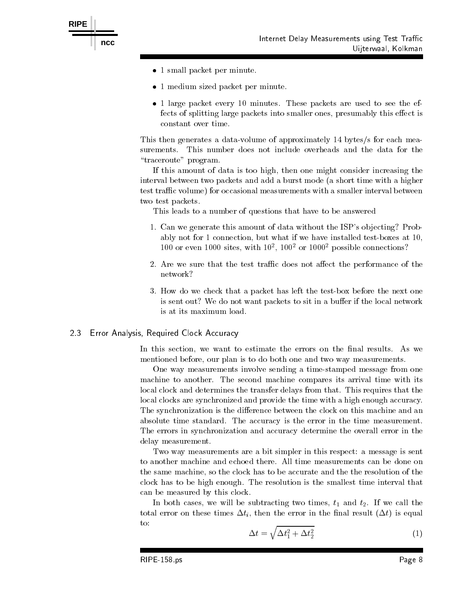-small packet per minute per minute per minute per minute per minute per minute per minute per minute per minute

**RIPE**

- medium sized packet per minutes per minutes
- - - packets to separate to see the effect of the effect of the effect of the effect of the effect of the fects of splitting large packets into smaller ones, presumably this effect is constant over time

the then generates a datavolume of approximately - - - , ..., - - ... . ..... . . surements. This number does not include overheads and the data for the "traceroute" program.

If this amount of data is too high, then one might consider increasing the interval between two packets and add a burst mode (a short time with a higher test traffic volume) for occasional measurements with a smaller interval between two test packets

This leads to a number of questions that have to be answered

- Can we generate this amount of data without the ISPs ob jecting Prob ably note for - connection by the iteration but when if we have it we have the state  $\sim$ from even from sites, with for, foor or floor possible connections:
- 2. Are we sure that the test traffic does not affect the performance of the network
- 3. How do we check that a packet has left the test-box before the next one is sent out? We do not want packets to sit in a buffer if the local network is at its maximum load

### 2.3 Error Analysis, Required Clock Accuracy

In this section we want to estimate the errors on the nal results As we mentioned before, our plan is to do both one and two way measurements.

One way measurements involve sending a time-stamped message from one machine to another. The second machine compares its arrival time with its local clock and determines the transfer delays from that This requires that the local clocks are synchronized and provide the time with a high enough accuracy The synchronization is the difference between the clock on this machine and an absolute time standard. The accuracy is the error in the time measurement. The errors in synchronization and accuracy determine the overall error in the delay measurement

Two way measurements are a bit simpler in this respect a message is sent to another machine and echoed there All time measurements can be done on the same machine, so the clock has to be accurate and the the resolution of the clock has to be high enough. The resolution is the smallest time interval that can be measured by this clock

In both cases, we will be subtracting two times,  $t_1$  and  $t_2$ . If we call the total error on these times times the error in the error in the error result to the  $\sqrt{-1}$  and the expected to

$$
\Delta t = \sqrt{\Delta t_1^2 + \Delta t_2^2} \tag{1}
$$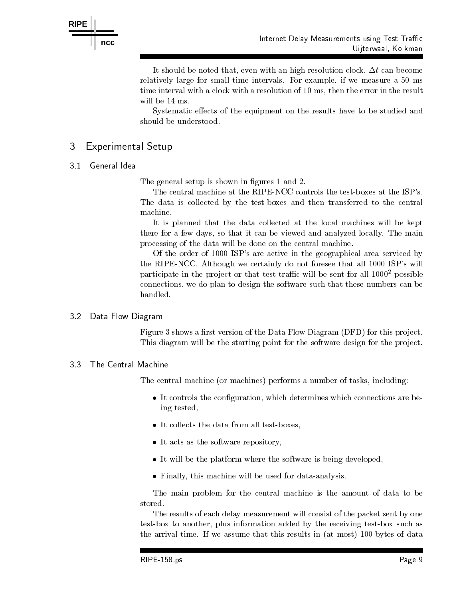It should be noted that, even with an high resolution clock,  $\Delta t$  can become relatively large for small time intervals. For example, if we measure a 50 ms time interval with a clock with a clock with a resolution of - and - many the result in the results are result

Systematic effects of the equipment on the results have to be studied and should be understood

### 3 Experimental Setup

### $3<sub>1</sub>$ General Idea

The general setup is shown in gures - and

The central machine at the RIPE-NCC controls the test-boxes at the ISP's. The data is collected by the test-boxes and then transferred to the central machine

It is planned that the data collected at the local machines will be kept there for a few days, so that it can be viewed and analyzed locally. The main processing of the data will be done on the central machine

Of the order of field field areas serviced by area serviced by an area serviced by an area serviced by a serviced by the RIPE C although we certainly do not for form and forest all - in the contract of the second state of the s participate in the project or that test trainc will be sent for all 1000° possible connections we do plan to design the software such that these numbers can be handled

# 3.2 Data Flow Diagram

Figure shows a rst version of the Data Flow Diagram DFD for this pro ject This diagram will be the starting point for the software design for the project.

### 3.3 The Central Machine

The central machine (or machines) performs a number of tasks, including:

- It controls the con guration which determines which connections are be ing tested
- It collects the data from all test-boxes,
- It acts as the software repository,
- It will be the platform where the software is being developed,
- Finally, this machine will be used for data-analysis.

The main problem for the central machine is the amount of data to be stored

The results of each delay measurement will consist of the packet sent by one test-box to another, plus information added by the receiving test-box such as the arrival time If we arrive that the most time that the second part most  $\mu$  part of the most of the second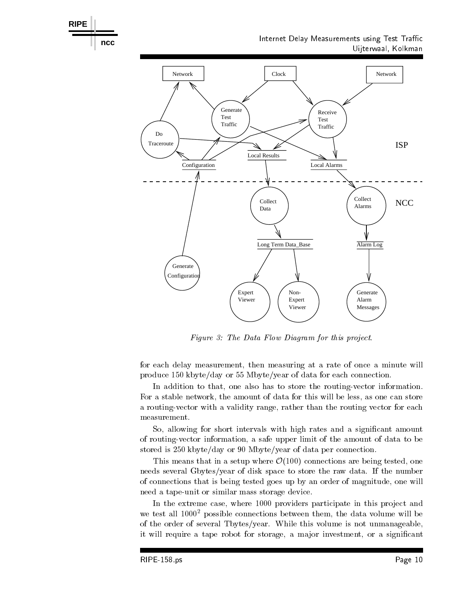

Figure The Data Flow Diagram for this project-

for each delay measurement, then measuring at a rate of once a minute will produce - and any the many or an each the form or matter connection and connection and

In addition to that, one also has to store the routing-vector information. For a stable network, the amount of data for this will be less, as one can store a routing-vector with a validity range, rather than the routing vector for each measurement

So allowing for short intervals with high rates and a signi cant amount of routing-vector information, a safe upper limit of the amount of data to be stored is  $250 \text{ kbyte/day}$  or  $90 \text{ Mbyte/year}$  of data per connection.

This means that is means that in a setup where  $\alpha$  is a setup where  $\alpha$ needs several Gbytes/year of disk space to store the raw data. If the number of connections that is being tested goes up by an order of magnitude, one will need a tape-unit or similar mass storage device.

In the extreme case where - providers participate in this pro ject and we test all luuu possible connections between them, the data volume will be of the order of several Tbytes/year. While this volume is not unmanageable, it will require <sup>a</sup> tape robot for storage <sup>a</sup> ma jor investment or a signi cant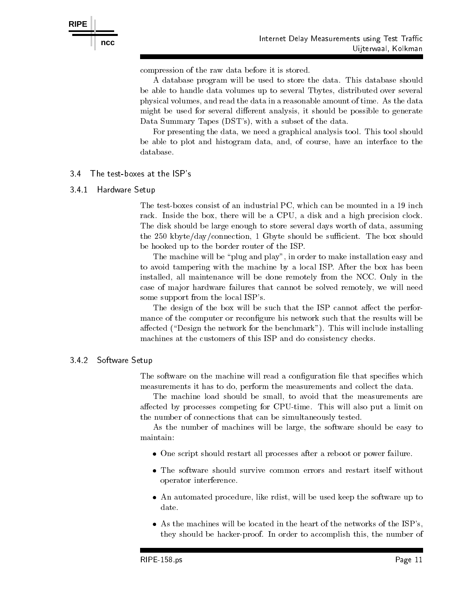compression of the raw data before it is stored

A database program will be used to store the data This database should be able to handle data volumes up to several Tbytes distributed over several physical volumes and read the data in a reasonable amount of time As the data might be used for several different analysis, it should be possible to generate Data Summary Tapes (DST's), with a subset of the data.

For presenting the data, we need a graphical analysis tool. This tool should be able to plot and histogram data and of course have an interface to the database

#### $3.4$ The test-boxes at the ISP's

#### 341 Hardware Setup

The testboxes consist of an industrial PC which can be mounted in a - inch rack. Inside the box, there will be a CPU, a disk and a high precision clock. The disk should be large enough to store several days worth of data assuming the state  $\mathbf{f}(\mathbf{f})$  and  $\mathbf{f}(\mathbf{f})$  should be such that  $\mathbf{f}(\mathbf{f})$  is shown that  $\mathbf{f}(\mathbf{f})$  is shown to show that  $\mathbf{f}(\mathbf{f})$ be hooked up to the border router of the ISP

The machine will be "plug and play", in order to make installation easy and to avoid tampering with the machine by a local ISP After the box has been installed, all maintenance will be done remotely from the NCC. Only in the case of major hardware failures that cannot be solved remotely, we will need some support from the local ISP's.

The design of the box will be such that the ISP cannot affect the performance of the computer or recon gure his network such that the results will be affected ("Design the network for the benchmark"). This will include installing machines at the customers of this ISP and do consistency checks

### 3.4.2 Software Setup

The software on the machine will read a con guration le that speci es which measurements it has to do, perform the measurements and collect the data.

The machine load should be small, to avoid that the measurements are affected by processes competing for CPU-time. This will also put a limit on the number of connections that can be simultaneously tested

As the number of machines will be large, the software should be easy to maintain

- One script should restart all processes after a reboot or power failure
- The software should survive common errors and restart itself without operator interference
- An automated procedure, like rdist, will be used keep the software up to date.
- $\bullet$  As the machines will be located in the heart of the networks of the ISP's, they should be hacker-proof. In order to accomplish this, the number of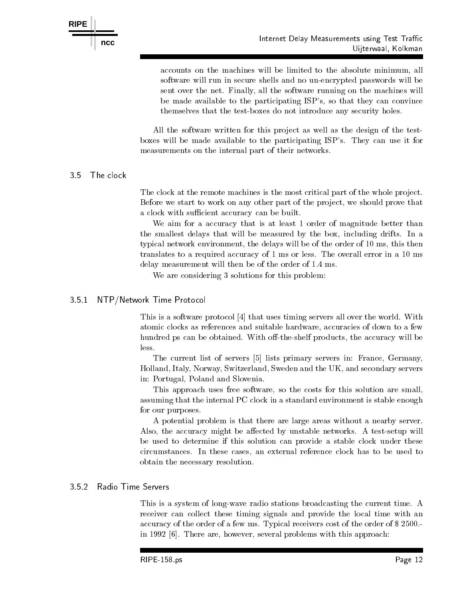accounts on the machines will be limited to the absolute minimum, all software will run in secure shells and no un-encrypted passwords will be sent over the net. Finally, all the software running on the machines will be made available to the participating ISP's, so that they can convince themselves that the test-boxes do not introduce any security holes.

All the software written for this project as well as the design of the testboxes will be made available to the participating ISP's. They can use it for measurements on the internal part of their networks

### $3.5$  The clock

The clock at the remote machines is the most critical part of the whole project. Before we start to work on any other part of the project, we should prove that a clock with sufficient accuracy can be built.

we also a for a curacy that is at least - at least - and management of matrix than  $\alpha$ the smallest delays that will be measured by the box, including drifts. In a typical intervals the delays will be order of the delays will be order of the order of the order order order o translates to a required accuracy of - ms or less The overall error in a - ms delay measurement will the order of the order of the order of the order order order order order order order or

We are considering 3 solutions for this problem:

### $351$ NTP (NTP) is a strategic to the protocol protocol protocol protocol protocol protocol protocol protocol protocol protocol protocol protocol protocol protocol protocol protocol protocol protocol protocol protocol protocol p

This is a software protocol  $[4]$  that uses timing servers all over the world. With atomic clocks as references and suitable hardware accuracies of down to a few hundred ps can be obtained. With off-the-shelf products, the accuracy will be less

The current list of servers [5] lists primary servers in: France, Germany, Holland, Italy, Norway, Switzerland, Sweden and the UK, and secondary servers in: Portugal, Poland and Slovenia.

This approach uses free software, so the costs for this solution are small, assuming that the internal PC clock in a standard environment is stable enough for our purposes

A potential problem is that there are large areas without a nearby server Also, the accuracy might be affected by unstable networks. A test-setup will be used to determine ifthis solution can provide a stable clock under these circumstances In these cases an external reference clock has to be used to obtain the necessary resolution

# 3.5.2 Radio Time Servers

This is a system of long-wave radio stations broadcasting the current time. A receiver can collect these timing signals and provide the local time with an accuracy of the order of a few ms. Typical receivers cost of the order of \$2500. in - There are a several problems with the several problems with the several problems with the second contract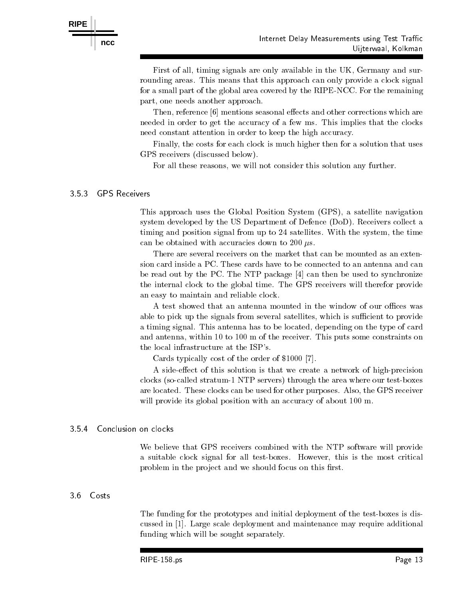First of all, timing signals are only available in the UK, Germany and surrounding areas. This means that this approach can only provide a clock signal for a small part of the global area covered by the RIPE-NCC. For the remaining part, one needs another approach.

Then, reference [6] mentions seasonal effects and other corrections which are needed in order to get the accuracy of a few ms. This implies that the clocks need constant attention in order to keep the high accuracy

Finally, the costs for each clock is much higher then for a solution that uses GPS receivers (discussed below).

For all these reasons, we will not consider this solution any further.

This approach uses the Global Position System (GPS), a satellite navigation system developed by the US Department of Defence (DoD). Receivers collect a timing and position signal from up to  $24$  satellites. With the system, the time can be obtained with accuracies down to  $200 \mu s$ .

There are several receivers on the market that can be mounted as an exten sion card inside a PC These cards have to be connected to an antenna and can be read out by the PC. The NTP package  $[4]$  can then be used to synchronize the internal clock to the global time The GPS receivers will therefor provide an easy to maintain and reliable clock

A test showed that an antenna mounted in the window of our offices was able to pick up the signals from several satellites, which is sufficient to provide a timing signal. This antenna has to be located, depending on the type of card and antenna within - to - to - the receiver This puts some constraints on the receiver  $\sim$ the local infrastructure at the ISP's.

Cards typically cost of the order of -

A side-effect of this solution is that we create a network of high-precision clocks socalled stratum- NTP servers through the area where our testboxes are located. These clocks can be used for other purposes. Also, the GPS receiver will provide it gives it position with an accuracy of above  $\sim$  and  $\sim$ 

### 3.5.4 Conclusion on clocks

We believe that GPS receivers combined with the NTP software will provide a suitable clock signal for all test-boxes. However, this is the most critical problem in the project and we should focus on the should focus on the should focus on the should focus on the s

#### $3.6$ Costs

The funding for the prototypes and initial deployment of the test-boxes is discussed in - Large scale deployment and maintenance maintenance may require additional funding which will be sought separately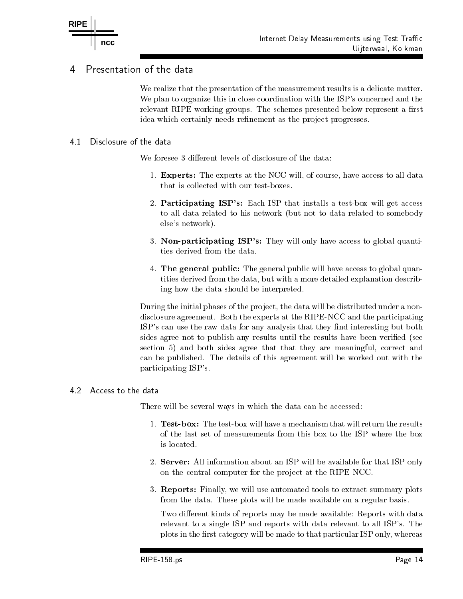### Presentation of the data 4

We realize that the presentation of the measurement results is a delicate matter. We plan to organize this in close coordination with the ISP's concerned and the relevant RIPE working groups The schemes presented below represent a rst idea which certainly needs re nement as the pro ject progresses

### 4.1 Disclosure of the data

We foresee 3 different levels of disclosure of the data:

- **Experient** The experience the rice is the NCC will be accessed in the NCC will device that is collected with our test-boxes.
- 2. Participating ISP's: Each ISP that installs a test-box will get access to all data related to his network (but not to data related to somebody else's network).
- 3. Non-participating ISP's: They will only have access to global quantities derived from the data
- 4. The general public: The general public will have access to global quantities derived from the data, but with a more detailed explanation describing how the data should be interpreted

During the initial phases of the project, the data will be distributed under a nondisclosure agreement. Both the experts at the RIPE-NCC and the participating is a form of the raw data for any analysis that they also they are the company of the state of the state of the sides agree not to publish any results until the results have been veri ed see section 5) and both sides agree that that they are meaningful, correct and can be published. The details of this agreement will be worked out with the participating ISP's.

# 4.2 Access to the data

There will be several ways in which the data can be accessed:

- of the last set of measurements from this box to the ISP where the box is located
- 2. Server: All information about an ISP will be available for that ISP only on the central computer for the project at the RIPE-NCC.
- 3. Reports: Finally, we will use automated tools to extract summary plots from the data. These plots will be made available on a regular basis.

Two different kinds of reports may be made available: Reports with data relevant to a single ISP and reports with data relevant to all ISP's. The plots in the the matrix  $\rho$  . The matrix  $\rho$  is that particular ISP on the matrix  $\rho$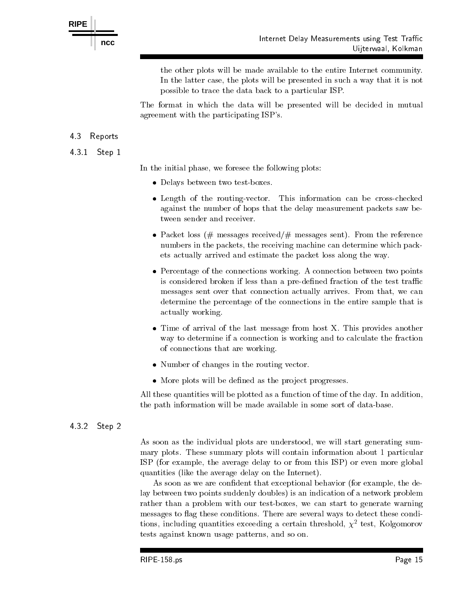the other plots will be made available to the entire Internet community In the latter case, the plots will be presented in such a way that it is not possible to trace the data back to a particular ISP

The format in which the data will be presented will be decided in mutual agreement with the participating ISP's.

## 4.3 Reports

### - Step -

In the initial phase, we foresee the following plots:

- Delays between two test-boxes.
- Length of the routing-vector. This information can be cross-checked against the number of hops that the delay measurement packets saw be tween sender and receiver
- Packet loss (# messages received/# messages sent). From the reference numbers in the packets, the receiving machine can determine which packets actually arrived and estimate the packet loss along the way
- Percentage of the connections working. A connection between two points is considered broken if less than a predet fraction of the test traction of the test traction of the test trac messages sent over that connection actually arrives. From that, we can determine the percentage of the connections in the entire sample that is actually working
- Time of arrival of the last message from host X. This provides another way to determine if a connection is working and to calculate the fraction of connections that are working
- Number of changes in the routing vector.
- more planets will be defined as the property property as the property of the property of the property of the p

All these quantities will be plotted as a function of time of the day In addition the path information will be made available in some sort of data-base.

# 432 Step 2

As soon as the individual plots are understood, we will start generating summary plots These summary plots will contain information about - particular ISP (for example, the average delay to or from this ISP) or even more global quantities (like the average delay on the Internet).

As soon as we are con dent that exceptional behavior for example the de lay between two points suddenly doubles) is an indication of a network problem rather than a problem with our test-boxes, we can start to generate warning messages to flag these conditions. There are several ways to detect these conditions, including quantities exceeding a certain threshold,  $\chi^{\pm}$  test, Kolgomorov tests against known usage patterns, and so on.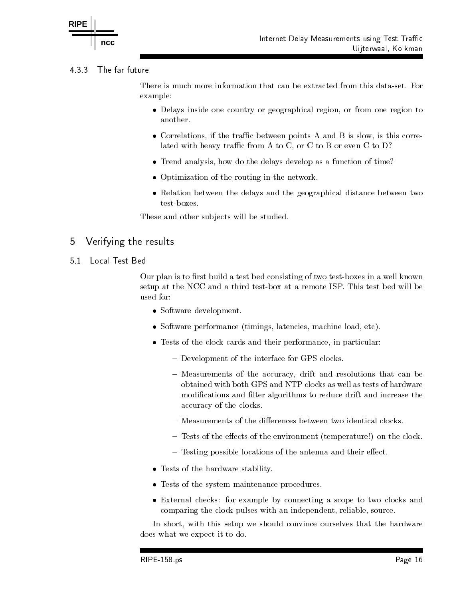

### 4 3 3 The far future

There is much more information that can be extracted from this data-set. For example

- Delays inside one country or geographical region or from one region to another.
- Correlations, if the traffic between points A and B is slow, is this correlated with heavy traffic from A to C, or C to B or even C to  $D$ ?
- Trend analysis, how do the delays develop as a function of time?
- Optimization of the routing in the network.
- Relation between the delays and the geographical distance between two

These and other subjects will be studied.

- Verifying the results
- $5<sub>1</sub>$ Local Test Bed

Our plan is to rst build a test bed consisting of two testboxes in a well known setup at the NCC and a third test-box at a remote ISP. This test bed will be used for:

- Software development.
- $\bullet$  Software performance (timings, latencies, machine load, etc).
- Tests of the clock cards and their performance, in particular:
	- Development of the interface for GPS clocks
	- Measurements of the accuracy drift and resolutions that can be obtained with both GPS and NTP clocks as well as tests of hardware modi cations and lter algorithms to reduce drift and increase the accuracy of the clocks
	-
	- Tests of the environment temperature temperature  $\mu$  the clock of the clock of the clock of the clock of the clock
	- Testing possible locations of the antenna and their except color.
- Tests of the hardware stability.
- Tests of the system maintenance procedures.
- External checks for example by connecting a scope to two clocks and comparing the clock-pulses with an independent, reliable, source.

In short, with this setup we should convince ourselves that the hardware does what we expect it to do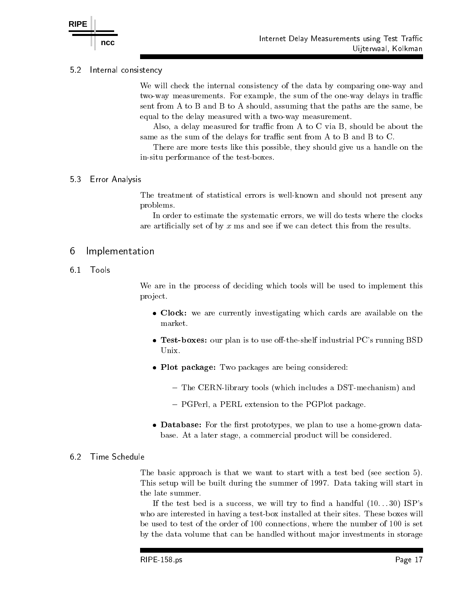### $52$  Internal consistency

We will check the internal consistency of the data by comparing one-way and two-way measurements. For example, the sum of the one-way delays in traffic sent from A to B and B to A should, assuming that the paths are the same, be equal to the delay measured with a two-way measurement.

Also, a delay measured for traffic from A to C via B, should be about the same as the sum of the delays for traffic sent from A to B and B to C.

There are more tests like this possible, they should give us a handle on the in-situ performance of the test-boxes.

# 53 Error Analysis

The treatment of statistical errors is well-known and should not present any problems

In order to estimate the systematic errors, we will do tests where the clocks are articles are articles to by an occurrent this can detect this from the results from the results of the results

### Implementation 6

6.1 Tools

> We are in the process of deciding which tools will be used to implement this pro ject

- Clock: we are currently investigating which cards are available on the
- Test-boxes: our plan is to use off-the-shelf industrial PC's running BSD Unix
- Plot package: Two packages are being considered:
	- The CERNLI  $\sim$  CERNLIFT is a DST  $\sim$  CERNLIFT includes a DSTM construction of  $\sim$  DSTM construction of  $\sim$
	- PGPerl a PERL extension to the PGPlot package
- Database For the rst prototypes we plan to use a homegrown data base. At a later stage, a commercial product will be considered.

### 6.2 Time Schedule

The basic approach is that we want to start with a test bed (see section 5).  $T$  , this setup will be built during the summer of  $\Lambda$ the late summer.

If the test bed is a success we will try to the test bed is a success we will try to the success  $\mathbf{I}$ who are interested in having a test-box installed at their sites. These boxes will of the order of the order of the order of the number of the set of the number of  $\alpha$  and  $\alpha$  is set of  $\alpha$ by the data volume that can be handled without major investments in storage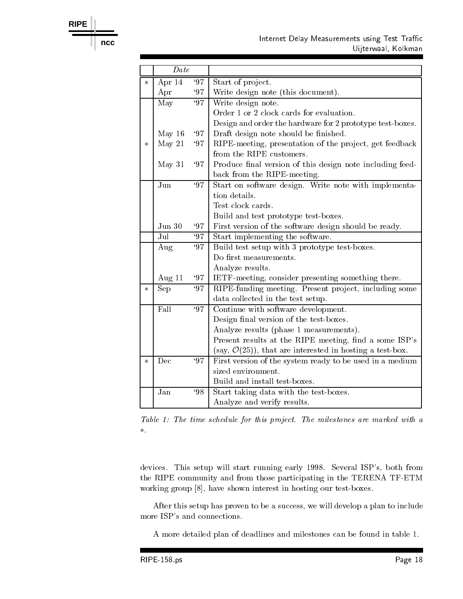

|        | Date     |    |                                                                       |
|--------|----------|----|-----------------------------------------------------------------------|
| $\ast$ | Apr $14$ | 97 | Start of project.                                                     |
|        | Apr      | 97 | Write design note (this document).                                    |
|        | May      | 97 | Write design note.                                                    |
|        |          |    | Order 1 or 2 clock cards for evaluation.                              |
|        |          |    | Design and order the hardware for 2 prototype test-boxes.             |
|        | May 16   | 97 | Draft design note should be finished.                                 |
| $\ast$ | May $21$ | 97 | RIPE-meeting, presentation of the project, get feedback               |
|        |          |    | from the RIPE customers.                                              |
|        | May 31   | 97 | Produce final version of this design note including feed-             |
|        |          |    | back from the RIPE-meeting.                                           |
|        | Jun      | 97 | Start on software design. Write note with implementa-                 |
|        |          |    | tion details.                                                         |
|        |          |    | Test clock cards.                                                     |
|        |          |    | Build and test prototype test-boxes.                                  |
|        | Jun 30   | 97 | First version of the software design should be ready.                 |
|        | Jul      | 97 | Start implementing the software.                                      |
|        | Aug      | 97 | Build test setup with 3 prototype test-boxes.                         |
|        |          |    | Do first measurements.                                                |
|        |          |    | Analyze results.                                                      |
|        | Aug 11   | 97 | IETF-meeting, consider presenting something there.                    |
| $\ast$ | Sep      | 97 | RIPE-funding meeting. Present project, including some                 |
|        |          |    | data collected in the test setup.                                     |
|        | Fall     | 97 | Continue with software development.                                   |
|        |          |    | Design final version of the test-boxes.                               |
|        |          |    | Analyze results (phase 1 measurements).                               |
|        |          |    | Present results at the RIPE meeting, find a some ISP's                |
|        |          |    | (say, $\mathcal{O}(25)$ ), that are interested in hosting a test-box. |
| $\ast$ | Dec      | 97 | First version of the system ready to be used in a medium              |
|        |          |    | sized environment.                                                    |
|        |          |    | Build and install test-boxes.                                         |
|        | Jan      | 98 | Start taking data with the test-boxes.                                |
|        |          |    | Analyze and verify results.                                           |

Table The time schedule for this project- The milestones are marked with <sup>a</sup>  $\ast$  .

devices This setup will set up will set up to the setup will be a set up to the set up to the set up to the set the RIPE community and from those participating in the TERENA TF-ETM working group  $[8]$ , have shown interest in hosting our test-boxes.

After this setup has proven to be a success, we will develop a plan to include more ISP's and connections.

A more detailed plan of deadlines and milestones can be found in table -

**RIPE**